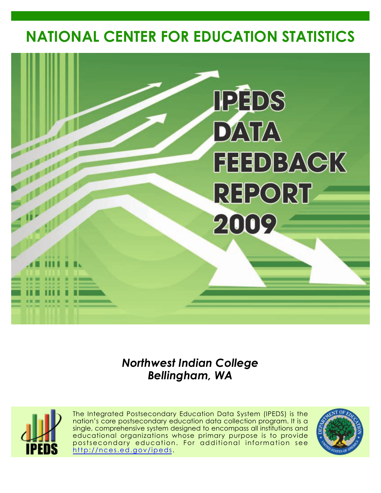# **NATIONAL CENTER FOR EDUCATION STATISTICS**



# *Northwest Indian College Bellingham, WA*



The Integrated Postsecondary Education Data System (IPEDS) is the nation's core postsecondary education data collection program. It is a single, comprehensive system designed to encompass all institutions and educational organizations whose primary purpose is to provide postsecondary education. For additional information see <http://nces.ed.gov/ipeds>.

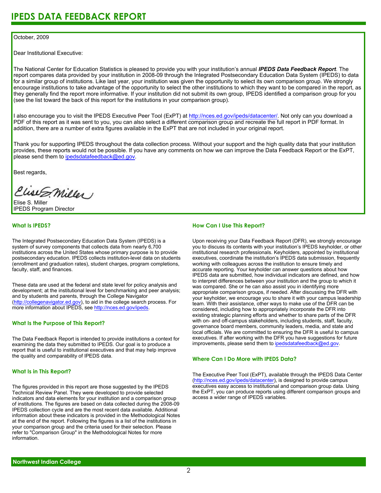### October, 2009

Dear Institutional Executive:

The National Center for Education Statistics is pleased to provide you with your institution's annual *IPEDS Data Feedback Report*. The report compares data provided by your institution in 2008-09 through the Integrated Postsecondary Education Data System (IPEDS) to data for a similar group of institutions. Like last year, your institution was given the opportunity to select its own comparison group. We strongly encourage institutions to take advantage of the opportunity to select the other institutions to which they want to be compared in the report, as they generally find the report more informative. If your institution did not submit its own group, IPEDS identified a comparison group for you (see the list toward the back of this report for the institutions in your comparison group).

I also encourage you to visit the IPEDS Executive Peer Tool (ExPT) at <http://nces.ed.gov/ipeds/datacenter/>. Not only can you download a PDF of this report as it was sent to you, you can also select a different comparison group and recreate the full report in PDF format. In addition, there are a number of extra figures available in the ExPT that are not included in your original report.

Thank you for supporting IPEDS throughout the data collection process. Without your support and the high quality data that your institution provides, these reports would not be possible. If you have any comments on how we can improve the Data Feedback Report or the ExPT, please send them to ipedsdatafeedback@ed.gov.

Best regards,

Clist S. Miller

Elise S. Miller IPEDS Program Director

### **What Is IPEDS?**

The Integrated Postsecondary Education Data System (IPEDS) is a system of survey components that collects data from nearly 6,700 institutions across the United States whose primary purpose is to provide postsecondary education. IPEDS collects institution-level data on students (enrollment and graduation rates), student charges, program completions, faculty, staff, and finances.

These data are used at the federal and state level for policy analysis and development; at the institutional level for benchmarking and peer analysis; and by students and parents, through the College Navigator [\(http://collegenavigator.ed.gov\)](http://collegenavigator.ed.gov), to aid in the college search process. For more information about IPEDS, see [http://nces.ed.gov/ipeds.](http://nces.ed.gov/ipeds)

### **What Is the Purpose of This Report?**

The Data Feedback Report is intended to provide institutions a context for examining the data they submitted to IPEDS. Our goal is to produce a report that is useful to institutional executives and that may help improve the quality and comparability of IPEDS data.

### **What Is in This Report?**

The figures provided in this report are those suggested by the IPEDS Technical Review Panel. They were developed to provide selected indicators and data elements for your institution and a comparison group of institutions. The figures are based on data collected during the 2008-09 IPEDS collection cycle and are the most recent data available. Additional information about these indicators is provided in the Methodological Notes at the end of the report. Following the figures is a list of the institutions in your comparison group and the criteria used for their selection. Please refer to "Comparison Group" in the Methodological Notes for more information.

### **How Can I Use This Report?**

Upon receiving your Data Feedback Report (DFR), we strongly encourage you to discuss its contents with your institution's IPEDS keyholder, or other institutional research professionals. Keyholders, appointed by institutional executives, coordinate the institution's IPEDS data submission, frequently working with colleagues across the institution to ensure timely and accurate reporting. Your keyholder can answer questions about how IPEDS data are submitted, how individual indicators are defined, and how to interpret differences between your institution and the group to which it was compared. She or he can also assist you in identifying more appropriate comparison groups, if needed. After discussing the DFR with your keyholder, we encourage you to share it with your campus leadership team. With their assistance, other ways to make use of the DFR can be considered, including how to appropriately incorporate the DFR into existing strategic planning efforts and whether to share parts of the DFR with on- and off-campus stakeholders, including students, staff, faculty, governance board members, community leaders, media, and state and local officials. We are committed to ensuring the DFR is useful to campus executives. If after working with the DFR you have suggestions for future improvements, please send them to ipedsdatafeedback@ed.gov.

### **Where Can I Do More with IPEDS Data?**

The Executive Peer Tool (ExPT), available through the IPEDS Data Center [\(http://nces.ed.gov/ipeds/datacenter](http://nces.ed.gov/ipeds/datacenter)), is designed to provide campus executives easy access to institutional and comparison group data. Using the ExPT, you can produce reports using different comparison groups and access a wider range of IPEDS variables.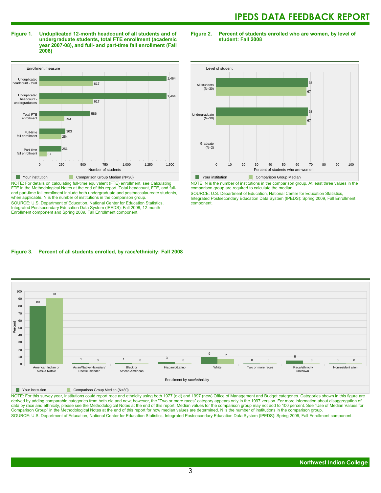**Figure 1. Unduplicated 12-month headcount of all students and of undergraduate students, total FTE enrollment (academic year 2007-08), and full- and part-time fall enrollment (Fall 2008)**

Enrollment measure 0 250 500 750 1,000 1,250 1,500 Number of students Part-time fall enrollment Full-time fall enrollment Total FTE enrollmen Unduplicated headcount undergraduates Unduplicated headcount - total 87 251 254 303 293 586 617 1,464 617 1,464 **Your institution** Comparison Group Median (N=30)

NOTE: For details on calculating full-time equivalent (FTE) enrollment, see Calculating FTE in the Methodological Notes at the end of this report. Total headcount, FTE, and fulland part-time fall enrollment include both undergraduate and postbaccalaureate students, when applicable. N is the number of institutions in the comparison group. SOURCE: U.S. Department of Education, National Center for Education Statistics, Integrated Postsecondary Education Data System (IPEDS): Fall 2008, 12-month Enrollment component and Spring 2009, Fall Enrollment component.

**Figure 2. Percent of students enrolled who are women, by level of student: Fall 2008**



NOTE: N is the number of institutions in the comparison group. At least three values in the comparison group are required to calculate the median.

SOURCE: U.S. Department of Education, National Center for Education Statistics, Integrated Postsecondary Education Data System (IPEDS): Spring 2009, Fall Enrollment component.

### **Figure 3. Percent of all students enrolled, by race/ethnicity: Fall 2008**

 $100$  $\frac{100}{200}$ 0 10 20 30 40 50 60 70 80 90 Percent American Indian or Alaska Native Asian/Native Hawaiian/ Pacific Islander Black or African American Hispanic/Latino White Two or more races Race/ethnicity  $unkno<sub>k</sub>$ Nonresident alien 80 91  $1$  0  $1$  0 3  $\overline{0}$ 9 7 0 0 5 0 0 0 Enrollment by race/ethnicity

**Nour institution** Comparison Group Median (N=30)

NOTE: For this survey year, institutions could report race and ethnicity using both 1977 (old) and 1997 (new) Office of Management and Budget categories. Categories shown in this figure are derived by adding comparable categories from both old and new; however, the "Two or more races" category appears only in the 1997 version. For more information about disaggregation of data by race and ethnicity, please see the Methodological Notes at the end of this report. Median values for the comparison group may not add to 100 percent. See "Use of Median Values for Comparison Group" in the Methodological Notes at the end of this report for how median values are determined. N is the number of institutions in the comparison group. SOURCE: U.S. Department of Education, National Center for Education Statistics, Integrated Postsecondary Education Data System (IPEDS): Spring 2009, Fall Enrollment component.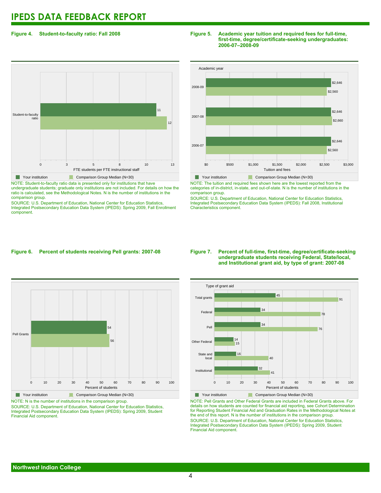### **Figure 4. Student-to-faculty ratio: Fall 2008**

# 0 3 5 8 10 13 FTE students per FTE instructional staff Student-to-faculty ratio 12 11 **The Your institution Comparison Group Median (N=30)**

NOTE: Student-to-faculty ratio data is presented only for institutions that have undergraduate students; graduate only institutions are not included. For details on how the ratio is calculated, see the Methodological Notes. N is the number of institutions in the comparison group.

SOURCE: U.S. Department of Education, National Center for Education Statistics, Integrated Postsecondary Education Data System (IPEDS): Spring 2009, Fall Enrollment component.

### **Figure 5. Academic year tuition and required fees for full-time, first-time, degree/certificate-seeking undergraduates: 2006-07–2008-09**



NOTE: The tuition and required fees shown here are the lowest reported from the categories of in-district, in-state, and out-of-state. N is the number of institutions in the comparison group.

SOURCE: U.S. Department of Education, National Center for Education Statistics, Integrated Postsecondary Education Data System (IPEDS): Fall 2008, Institutional Characteristics component.

### **Figure 6. Percent of students receiving Pell grants: 2007-08**



**The Comparison Group Median (N=30)** Comparison Group Median (N=30) NOTE: N is the number of institutions in the comparison group.

SOURCE: U.S. Department of Education, National Center for Education Statistics, Integrated Postsecondary Education Data System (IPEDS): Spring 2009, Student Financial Aid component.

### **Figure 7. Percent of full-time, first-time, degree/certificate-seeking undergraduate students receiving Federal, State/local, and Institutional grant aid, by type of grant: 2007-08**



NOTE: Pell Grants and Other Federal Grants are included in Federal Grants above. For details on how students are counted for financial aid reporting, see Cohort Determination for Reporting Student Financial Aid and Graduation Rates in the Methodological Notes at the end of this report. N is the number of institutions in the comparison group. SOURCE: U.S. Department of Education, National Center for Education Statistics, Integrated Postsecondary Education Data System (IPEDS): Spring 2009, Student Financial Aid component.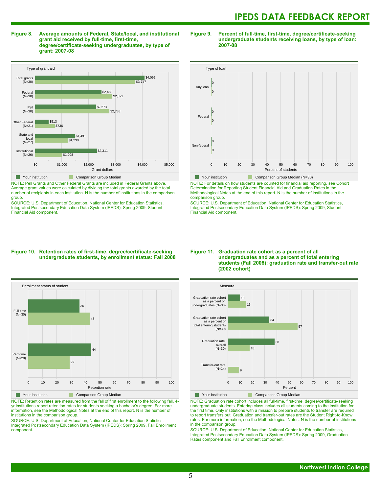**Figure 8. Average amounts of Federal, State/local, and institutional grant aid received by full-time, first-time, degree/certificate-seeking undergraduates, by type of grant: 2007-08**



NOTE: Pell Grants and Other Federal Grants are included in Federal Grants above. Average grant values were calculated by dividing the total grants awarded by the total number of recipients in each institution. N is the number of institutions in the comparison group.

SOURCE: U.S. Department of Education, National Center for Education Statistics, Integrated Postsecondary Education Data System (IPEDS): Spring 2009, Student Financial Aid component.

### **Figure 9. Percent of full-time, first-time, degree/certificate-seeking undergraduate students receiving loans, by type of loan: 2007-08**



**Your institution** Comparison Group Median (N=30)

NOTE: For details on how students are counted for financial aid reporting, see Cohort Determination for Reporting Student Financial Aid and Graduation Rates in the Methodological Notes at the end of this report. N is the number of institutions in the comparison group.

SOURCE: U.S. Department of Education, National Center for Education Statistics, Integrated Postsecondary Education Data System (IPEDS): Spring 2009, Student Financial Aid component.

### **Figure 10. Retention rates of first-time, degree/certificate-seeking undergraduate students, by enrollment status: Fall 2008**



NOTE: Retention rates are measured from the fall of first enrollment to the following fall. 4 yr institutions report retention rates for students seeking a bachelor's degree. For more information, see the Methodological Notes at the end of this report. N is the number of institutions in the comparison group.

SOURCE: U.S. Department of Education, National Center for Education Statistics, Integrated Postsecondary Education Data System (IPEDS): Spring 2009, Fall Enrollment component.

### **Figure 11. Graduation rate cohort as a percent of all undergraduates and as a percent of total entering students (Fall 2008); graduation rate and transfer-out rate (2002 cohort)**



NOTE: Graduation rate cohort includes all full-time, first-time, degree/certificate-seeking undergraduate students. Entering class includes all students coming to the institution for the first time. Only institutions with a mission to prepare students to transfer are required to report transfers out. Graduation and transfer-out rates are the Student Right-to-Know rates. For more information, see the Methodological Notes. N is the number of institutions in the comparison group.

SOURCE: U.S. Department of Education, National Center for Education Statistics, Integrated Postsecondary Education Data System (IPEDS): Spring 2009, Graduation Rates component and Fall Enrollment component.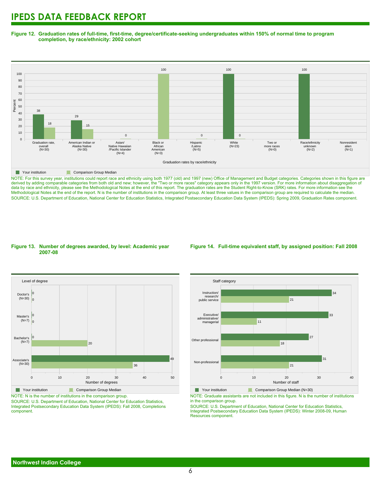**Figure 12. Graduation rates of full-time, first-time, degree/certificate-seeking undergraduates within 150% of normal time to program completion, by race/ethnicity: 2002 cohort**



NOTE: For this survey year, institutions could report race and ethnicity using both 1977 (old) and 1997 (new) Office of Management and Budget categories. Categories shown in this figure are NOTE: To this survey year, institutions colla report tices and curricity temp seen year, when years the "Two years only in the 1997 version. For more information about disaggregation of derived by adding comparable categor data by race and ethnicity, please see the Methodological Notes at the end of this report. The graduation rates are the Student Right-to-Know (SRK) rates. For more information see the Methodological Notes at the end of the report. N is the number of institutions in the comparison group. At least three values in the comparison group are required to calculate the median. SOURCE: U.S. Department of Education, National Center for Education Statistics, Integrated Postsecondary Education Data System (IPEDS): Spring 2009, Graduation Rates component.

### **Figure 13. Number of degrees awarded, by level: Academic year 2007-08**

### **Figure 14. Full-time equivalent staff, by assigned position: Fall 2008**



NOTE: N is the number of institutions in the comparison group.

SOURCE: U.S. Department of Education, National Center for Education Statistics, Integrated Postsecondary Education Data System (IPEDS): Fall 2008, Completions component.



NOTE: Graduate assistants are not included in this figure. N is the number of institutions in the comparison group.

SOURCE: U.S. Department of Education, National Center for Education Statistics, Integrated Postsecondary Education Data System (IPEDS): Winter 2008-09, Human Resources component.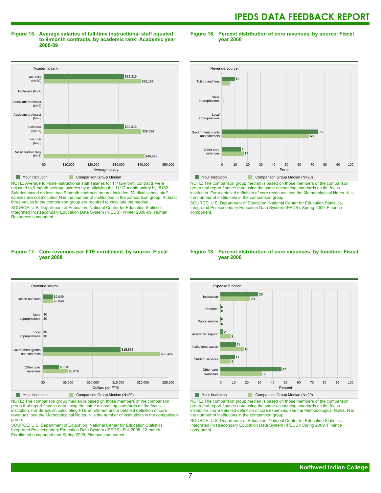**Figure 15. Average salaries of full-time instructional staff equated to 9-month contracts, by academic rank: Academic year 2008-09**

Academic rank and a street of the street of the street of the street of the street of the street of the street of the street<br>All ranks and the street of the street of the street of the street of the street of the street of the street o \$0 \$10,000 \$20,000 \$30,000 \$40,000 \$50,000 Average salary No academic rank  $(N=6)$ Lecture  $(N=0)$ **Instructor**  $(N=27)$ Assistant professor  $(N=0)$ Associate profe  $(N=0)$ Professor (N=1) (N=30) \$40,628 \$39,334 \$32,315 \$39,187 \$32,315 **The Your institution Comparison Group Median** 

NOTE: Average full-time instructional staff salaries for 11/12-month contracts were adjusted to 9-month average salaries by multiplying the 11/12-month salary by .8182. Salaries based on less than 9-month contracts are not included. Medical school staff salaries are not included. N is the number of institutions in the comparison group. At least three values in the comparison group are required to calculate the median. SOURCE: U.S. Department of Education, National Center for Education Statistics, Integrated Postsecondary Education Data System (IPEDS): Winter 2008-09, Human Resources component.

### **Figure 16. Percent distribution of core revenues, by source: Fiscal year 2008**



NOTE: The comparison group median is based on those members of the comparison group that report finance data using the same accounting standards as the focus institution. For a detailed definition of core revenues, see the Methodological Notes. N is the number of institutions in the comparison group.

SOURCE: U.S. Department of Education, National Center for Education Statistics, Integrated Postsecondary Education Data System (IPEDS): Spring 2009, Finance component.

### **Figure 17. Core revenues per FTE enrollment, by source: Fiscal year 2008**



NOTE: The comparison group median is based on those members of the comparison group that report finance data using the same accounting standards as the focus institution. For details on calculating FTE enrollment and a detailed definition of core revenues, see the Methodological Notes. N is the number of institutions in the comparison group.

SOURCE: U.S. Department of Education, National Center for Education Statistics, Integrated Postsecondary Education Data System (IPEDS): Fall 2008, 12-month Enrollment component and Spring 2009, Finance component.

### **Figure 18. Percent distribution of core expenses, by function: Fiscal year 2008**



NOTE: The comparison group median is based on those members of the comparison group that report finance data using the same accounting standards as the focus institution. For a detailed definition of core expenses, see the Methodological Notes. N is the number of institutions in the comparison group.

SOURCE: U.S. Department of Education, National Center for Education Statistics, Integrated Postsecondary Education Data System (IPEDS): Spring 2009, Finance component.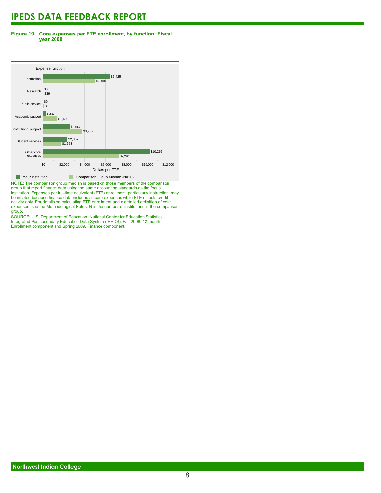### **Figure 19. Core expenses per FTE enrollment, by function: Fiscal year 2008**



NOTE: The comparison group median is based on those members of the comparison group that report finance data using the same accounting standards as the focus institution. Expenses per full-time equivalent (FTE) enrollment, particularly instruction, may be inflated because finance data includes all core expenses while FTE reflects credit activity only. For details on calculating FTE enrollment and a detailed definition of core expenses, see the Methodological Notes. N is the number of institutions in the comparison group.

SOURCE: U.S. Department of Education, National Center for Education Statistics, Integrated Postsecondary Education Data System (IPEDS): Fall 2008, 12-month Enrollment component and Spring 2009, Finance component.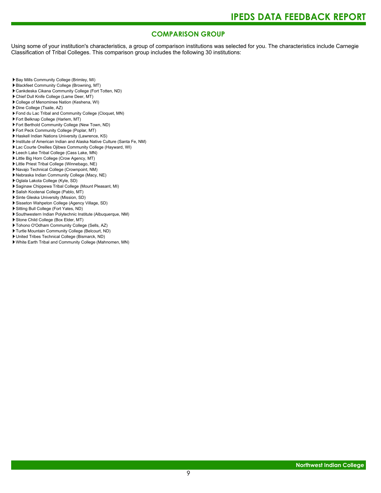### **COMPARISON GROUP**

Using some of your institution's characteristics, a group of comparison institutions was selected for you. The characteristics include Carnegie Classification of Tribal Colleges. This comparison group includes the following 30 institutions:

- Bay Mills Community College (Brimley, MI)
- Blackfeet Community College (Browning, MT)
- Cankdeska Cikana Community College (Fort Totten, ND)
- Chief Dull Knife College (Lame Deer, MT)
- College of Menominee Nation (Keshena, WI)
- Dine College (Tsaile, AZ)
- Fond du Lac Tribal and Community College (Cloquet, MN)
- Fort Belknap College (Harlem, MT)
- Fort Berthold Community College (New Town, ND)
- Fort Peck Community College (Poplar, MT)
- Haskell Indian Nations University (Lawrence, KS)
- Institute of American Indian and Alaska Native Culture (Santa Fe, NM)
- Lac Courte Oreilles Ojibwa Community College (Hayward, WI)
- Leech Lake Tribal College (Cass Lake, MN)
- Little Big Horn College (Crow Agency, MT)
- Little Priest Tribal College (Winnebago, NE)
- Navajo Technical College (Crownpoint, NM)
- Nebraska Indian Community College (Macy, NE)
- Oglala Lakota College (Kyle, SD)
- Saginaw Chippewa Tribal College (Mount Pleasant, MI)
- Salish Kootenai College (Pablo, MT)
- Sinte Gleska University (Mission, SD)
- Sisseton Wahpeton College (Agency Village, SD)
- Sitting Bull College (Fort Yates, ND)
- Southwestern Indian Polytechnic Institute (Albuquerque, NM)
- Stone Child College (Box Elder, MT)
- Tohono O'Odham Community College (Sells, AZ)
- Turtle Mountain Community College (Belcourt, ND)
- United Tribes Technical College (Bismarck, ND)
- White Earth Tribal and Community College (Mahnomen, MN)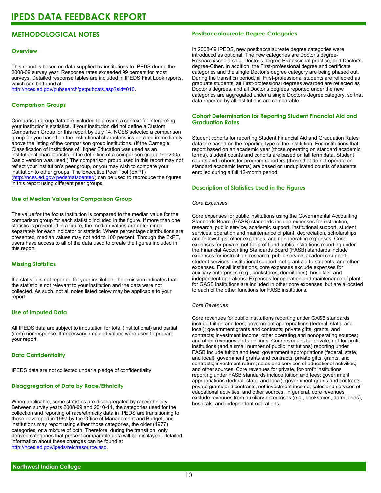### **METHODOLOGICAL NOTES**

### **Overview**

This report is based on data supplied by institutions to IPEDS during the 2008-09 survey year. Response rates exceeded 99 percent for most surveys. Detailed response tables are included in IPEDS First Look reports, which can be found at [http://nces.ed.gov/pubsearch/getpubcats.asp?sid=010.](http://nces.ed.gov/pubsearch/getpubcats.asp?sid=010)

### **Comparison Groups**

Comparison group data are included to provide a context for interpreting your institution's statistics. If your institution did not define a Custom Comparison Group for this report by July 14, NCES selected a comparison group for you based on the institutional characteristics detailed immediately above the listing of the comparison group institutions. (If the Carnegie Classification of Institutions of Higher Education was used as an institutional characteristic in the definition of a comparison group, the 2005 Basic version was used.) The comparison group used in this report may not reflect your institution's peer group, or you may wish to compare your institution to other groups. The Executive Peer Tool (ExPT) (<http://nces.ed.gov/ipeds/datacenter/>) can be used to reproduce the figures in this report using different peer groups.

### **Use of Median Values for Comparison Group**

The value for the focus institution is compared to the median value for the comparison group for each statistic included in the figure. If more than one statistic is presented in a figure, the median values are determined separately for each indicator or statistic. Where percentage distributions are presented, median values may not add to 100 percent. Through the ExPT, users have access to all of the data used to create the figures included in this report.

### **Missing Statistics**

If a statistic is not reported for your institution, the omission indicates that the statistic is not relevant to your institution and the data were not collected. As such, not all notes listed below may be applicable to your report.

### **Use of Imputed Data**

All IPEDS data are subject to imputation for total (institutional) and partial (item) nonresponse. If necessary, imputed values were used to prepare your report.

### **Data Confidentiality**

IPEDS data are not collected under a pledge of confidentiality.

### **Disaggregation of Data by Race/Ethnicity**

When applicable, some statistics are disaggregated by race/ethnicity. Between survey years 2008-09 and 2010-11, the categories used for the collection and reporting of race/ethnicity data in IPEDS are transitioning to those developed in 1997 by the Office of Management and Budget, and institutions may report using either those categories, the older (1977) categories, or a mixture of both. Therefore, during the transition, only derived categories that present comparable data will be displayed. Detailed information about these changes can be found at <http://nces.ed.gov/ipeds/reic/resource.asp>.

### **Postbaccalaureate Degree Categories**

In 2008-09 IPEDS, new postbaccalaureate degree categories were introduced as optional. The new categories are Doctor's degree-Research/scholarship, Doctor's degree-Professional practice, and Doctor's degree-Other. In addition, the First-professional degree and certificate categories and the single Doctor's degree category are being phased out. During the transition period, all First-professional students are reflected as graduate students, all First-professional degrees awarded are reflected as Doctor's degrees, and all Doctor's degrees reported under the new categories are aggregated under a single Doctor's degree category, so that data reported by all institutions are comparable.

### **Cohort Determination for Reporting Student Financial Aid and Graduation Rates**

Student cohorts for reporting Student Financial Aid and Graduation Rates data are based on the reporting type of the institution. For institutions that report based on an academic year (those operating on standard academic terms), student counts and cohorts are based on fall term data. Student counts and cohorts for program reporters (those that do not operate on standard academic terms) are based on unduplicated counts of students enrolled during a full 12-month period.

### **Description of Statistics Used in the Figures**

### *Core Expenses*

Core expenses for public institutions using the Governmental Accounting Standards Board (GASB) standards include expenses for instruction, research, public service, academic support, institutional support, student services, operation and maintenance of plant, depreciation, scholarships and fellowships, other expenses, and nonoperating expenses. Core expenses for private, not-for-profit and public institutions reporting under the Financial Accounting Standards Board (FASB) standards include expenses for instruction, research, public service, academic support, student services, institutional support, net grant aid to students, and other expenses. For all institutions, core expenses exclude expenses for auxiliary enterprises (e.g., bookstores, dormitories), hospitals, and independent operations. Expenses for operation and maintenance of plant for GASB institutions are included in other core expenses, but are allocated to each of the other functions for FASB institutions.

### *Core Revenues*

Core revenues for public institutions reporting under GASB standards include tuition and fees; government appropriations (federal, state, and local); government grants and contracts; private gifts, grants, and contracts; investment income; other operating and nonoperating sources; and other revenues and additions. Core revenues for private, not-for-profit institutions (and a small number of public institutions) reporting under FASB include tuition and fees; government appropriations (federal, state, and local); government grants and contracts; private gifts, grants, and contracts; investment return; sales and services of educational activities; and other sources. Core revenues for private, for-profit institutions reporting under FASB standards include tuition and fees; government appropriations (federal, state, and local); government grants and contracts; private grants and contracts; net investment income; sales and services of educational activities; and other sources. In general, core revenues exclude revenues from auxiliary enterprises (e.g., bookstores, dormitories), hospitals, and independent operations.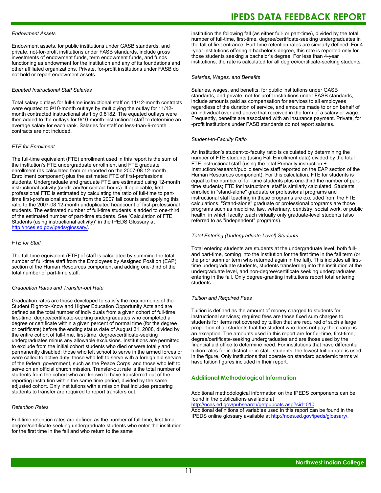### *Endowment Assets*

Endowment assets, for public institutions under GASB standards, and private, not-for-profit institutions under FASB standards, include gross investments of endowment funds, term endowment funds, and funds functioning as endowment for the institution and any of its foundations and other affiliated organizations. Private, for-profit institutions under FASB do not hold or report endowment assets.

### *Equated Instructional Staff Salaries*

Total salary outlays for full-time instructional staff on 11/12-month contracts were equated to 9/10-month outlays by multiplying the outlay for 11/12 month contracted instructional staff by 0.8182. The equated outlays were then added to the outlays for 9/10-month instructional staff to determine an average salary for each rank. Salaries for staff on less-than-9-month contracts are not included.

### *FTE for Enrollment*

The full-time equivalent (FTE) enrollment used in this report is the sum of the institution's FTE undergraduate enrollment and FTE graduate enrollment (as calculated from or reported on the 2007-08 12-month Enrollment component) plus the estimated FTE of first-professional students. Undergraduate and graduate FTE are estimated using 12-month instructional activity (credit and/or contact hours). If applicable, firstprofessional FTE is estimated by calculating the ratio of full-time to parttime first-professional students from the 2007 fall counts and applying this ratio to the 2007-08 12-month unduplicated headcount of first-professional students. The estimated number of full-time students is added to one-third of the estimated number of part-time students. See "Calculation of FTE Students (using instructional activity)" in the IPEDS Glossary at <http://nces.ed.gov/ipeds/glossary/>.

### *FTE for Staff*

The full-time equivalent (FTE) of staff is calculated by summing the total number of full-time staff from the Employees by Assigned Position (EAP) section of the Human Resources component and adding one-third of the total number of part-time staff.

### *Graduation Rates and Transfer-out Rate*

Graduation rates are those developed to satisfy the requirements of the Student Right-to-Know and Higher Education Opportunity Acts and are defined as the total number of individuals from a given cohort of full-time, first-time, degree/certificate-seeking undergraduates who completed a degree or certificate within a given percent of normal time (for the degree or certificate) before the ending status date of August 31, 2008, divided by the entire cohort of full-time, first-time, degree/certificate-seeking undergraduates minus any allowable exclusions. Institutions are permitted to exclude from the initial cohort students who died or were totally and permanently disabled; those who left school to serve in the armed forces or were called to active duty; those who left to serve with a foreign aid service of the federal government, such as the Peace Corps; and those who left to serve on an official church mission. Transfer-out rate is the total number of students from the cohort who are known to have transferred out of the reporting institution within the same time period, divided by the same adjusted cohort. Only institutions with a mission that includes preparing students to transfer are required to report transfers out.

### *Retention Rates*

Full-time retention rates are defined as the number of full-time, first-time, degree/certificate-seeking undergraduate students who enter the institution for the first time in the fall and who return to the same

### **IPEDS DATA FEEDBACK REPORT**

institution the following fall (as either full- or part-time), divided by the total number of full-time, first-time, degree/certificate-seeking undergraduates in the fall of first entrance. Part-time retention rates are similarly defined. For 4 -year institutions offering a bachelor's degree, this rate is reported only for those students seeking a bachelor's degree. For less than 4-year institutions, the rate is calculated for all degree/certificate-seeking students.

#### *Salaries, Wages, and Benefits*

Salaries, wages, and benefits, for public institutions under GASB standards, and private, not-for-profit institutions under FASB standards, include amounts paid as compensation for services to all employees regardless of the duration of service, and amounts made to or on behalf of an individual over and above that received in the form of a salary or wage. Frequently, benefits are associated with an insurance payment. Private, for -profit institutions under FASB standards do not report salaries.

#### *Student-to-Faculty Ratio*

An institution's student-to-faculty ratio is calculated by determining the number of FTE students (using Fall Enrollment data) divided by the total FTE instructional staff (using the total Primarily instruction + Instruction/research/public service staff reported on the EAP section of the Human Resources component). For this calculation, FTE for students is equal to the number of full-time students plus one-third the number of parttime students; FTE for instructional staff is similarly calculated. Students enrolled in "stand-alone" graduate or professional programs and instructional staff teaching in these programs are excluded from the FTE calculations. "Stand-alone" graduate or professional programs are those programs such as medicine, law, veterinary, dentistry, social work, or public health, in which faculty teach virtually only graduate-level students (also referred to as "independent" programs).

### *Total Entering (Undergraduate-Level) Students*

Total entering students are students at the undergraduate level, both fulland part-time, coming into the institution for the first time in the fall term (or the prior summer term who returned again in the fall). This includes all firsttime undergraduate students, students transferring into the institution at the undergraduate level, and non-degree/certificate seeking undergraduates entering in the fall. Only degree-granting institutions report total entering students.

### *Tuition and Required Fees*

Tuition is defined as the amount of money charged to students for instructional services; required fees are those fixed sum charges to students for items not covered by tuition that are required of such a large proportion of all students that the student who does not pay the charge is an exception. The amounts used in this report are for full-time, first-time, degree/certificate-seeking undergraduates and are those used by the financial aid office to determine need. For institutions that have differential tuition rates for in-district or in-state students, the lowest tuition rate is used in the figure. Only institutions that operate on standard academic terms will have tuition figures included in their report.

#### **Additional Methodological Information**

Additional methodological information on the IPEDS components can be found in the publications available at <http://nces.ed.gov/pubsearch/getpubcats.asp?sid=010>.

Additional definitions of variables used in this report can be found in the IPEDS online glossary available at <http://nces.ed.gov/ipeds/glossary/>.